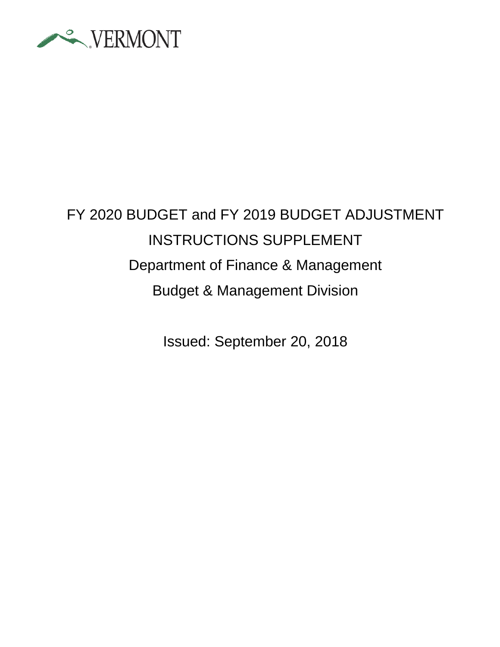

# FY 2020 BUDGET and FY 2019 BUDGET ADJUSTMENT INSTRUCTIONS SUPPLEMENT Department of Finance & Management Budget & Management Division

Issued: September 20, 2018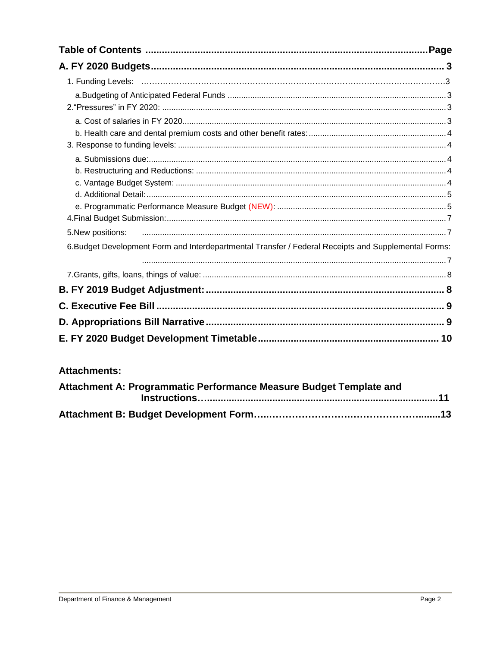| .Page                                                                                                |  |
|------------------------------------------------------------------------------------------------------|--|
|                                                                                                      |  |
|                                                                                                      |  |
|                                                                                                      |  |
|                                                                                                      |  |
|                                                                                                      |  |
|                                                                                                      |  |
|                                                                                                      |  |
|                                                                                                      |  |
|                                                                                                      |  |
|                                                                                                      |  |
| 5. New positions:                                                                                    |  |
| 6. Budget Development Form and Interdepartmental Transfer / Federal Receipts and Supplemental Forms: |  |
|                                                                                                      |  |
|                                                                                                      |  |
|                                                                                                      |  |
|                                                                                                      |  |
|                                                                                                      |  |
|                                                                                                      |  |

# **Attachments:**

| Attachment A: Programmatic Performance Measure Budget Template and |  |
|--------------------------------------------------------------------|--|
|                                                                    |  |
|                                                                    |  |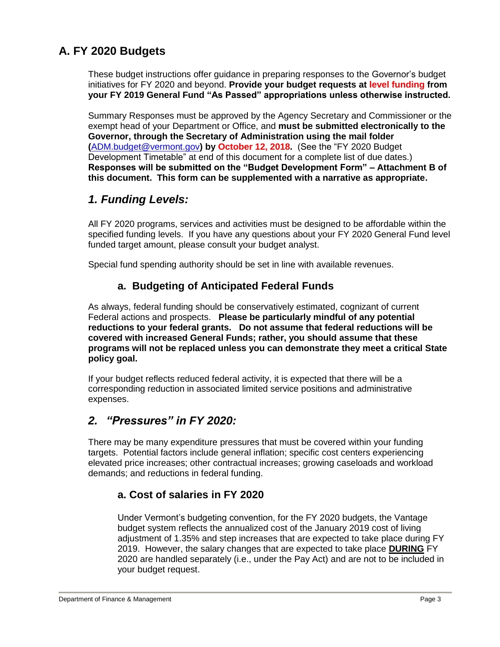# **A. FY 2020 Budgets**

These budget instructions offer guidance in preparing responses to the Governor's budget initiatives for FY 2020 and beyond. **Provide your budget requests at level funding from your FY 2019 General Fund "As Passed" appropriations unless otherwise instructed.**

Summary Responses must be approved by the Agency Secretary and Commissioner or the exempt head of your Department or Office, and **must be submitted electronically to the Governor, through the Secretary of Administration using the mail folder (**[ADM.budget@vermont.gov](mailto:ADM.budget@vermont.gov)**) by October 12, 2018.** (See the "FY 2020 Budget Development Timetable" at end of this document for a complete list of due dates.) **Responses will be submitted on the "Budget Development Form" – Attachment B of this document. This form can be supplemented with a narrative as appropriate.**

# *1. Funding Levels:*

All FY 2020 programs, services and activities must be designed to be affordable within the specified funding levels. If you have any questions about your FY 2020 General Fund level funded target amount, please consult your budget analyst.

Special fund spending authority should be set in line with available revenues.

### **a. Budgeting of Anticipated Federal Funds**

As always, federal funding should be conservatively estimated, cognizant of current Federal actions and prospects. **Please be particularly mindful of any potential reductions to your federal grants. Do not assume that federal reductions will be covered with increased General Funds; rather, you should assume that these programs will not be replaced unless you can demonstrate they meet a critical State policy goal.** 

If your budget reflects reduced federal activity, it is expected that there will be a corresponding reduction in associated limited service positions and administrative expenses.

# *2. "Pressures" in FY 2020:*

There may be many expenditure pressures that must be covered within your funding targets. Potential factors include general inflation; specific cost centers experiencing elevated price increases; other contractual increases; growing caseloads and workload demands; and reductions in federal funding.

# **a. Cost of salaries in FY 2020**

Under Vermont's budgeting convention, for the FY 2020 budgets, the Vantage budget system reflects the annualized cost of the January 2019 cost of living adjustment of 1.35% and step increases that are expected to take place during FY 2019. However, the salary changes that are expected to take place **DURING** FY 2020 are handled separately (i.e., under the Pay Act) and are not to be included in your budget request.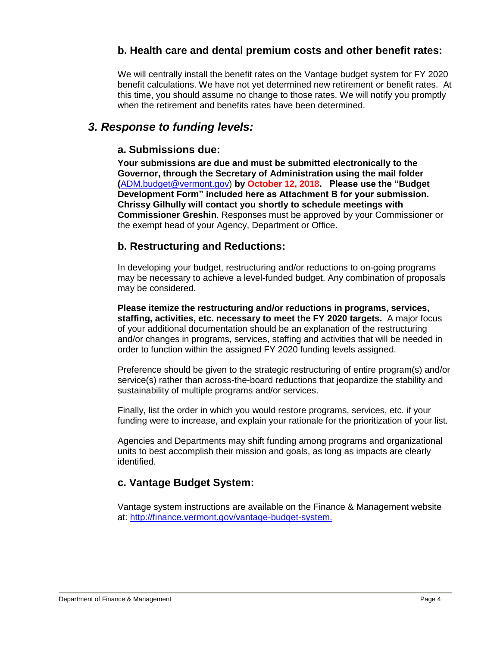### **b. Health care and dental premium costs and other benefit rates:**

We will centrally install the benefit rates on the Vantage budget system for FY 2020 benefit calculations. We have not yet determined new retirement or benefit rates. At this time, you should assume no change to those rates. We will notify you promptly when the retirement and benefits rates have been determined.

### *3. Response to funding levels:*

#### **a. Submissions due:**

**Your submissions are due and must be submitted electronically to the Governor, through the Secretary of Administration using the mail folder (**[ADM.budget@vermont.gov\)](mailto:ADM.budget@vermont.gov) **by October 12, 2018. Please use the "Budget Development Form" included here as Attachment B for your submission. Chrissy Gilhully will contact you shortly to schedule meetings with Commissioner Greshin**. Responses must be approved by your Commissioner or the exempt head of your Agency, Department or Office.

#### **b. Restructuring and Reductions:**

In developing your budget, restructuring and/or reductions to on-going programs may be necessary to achieve a level-funded budget. Any combination of proposals may be considered.

**Please itemize the restructuring and/or reductions in programs, services, staffing, activities, etc. necessary to meet the FY 2020 targets.** A major focus of your additional documentation should be an explanation of the restructuring and/or changes in programs, services, staffing and activities that will be needed in order to function within the assigned FY 2020 funding levels assigned.

Preference should be given to the strategic restructuring of entire program(s) and/or service(s) rather than across-the-board reductions that jeopardize the stability and sustainability of multiple programs and/or services.

Finally, list the order in which you would restore programs, services, etc. if your funding were to increase, and explain your rationale for the prioritization of your list.

Agencies and Departments may shift funding among programs and organizational units to best accomplish their mission and goals, as long as impacts are clearly identified.

### **c. Vantage Budget System:**

Vantage system instructions are available on the Finance & Management website at: http://finance.vermont.gov/vantage-budget-system.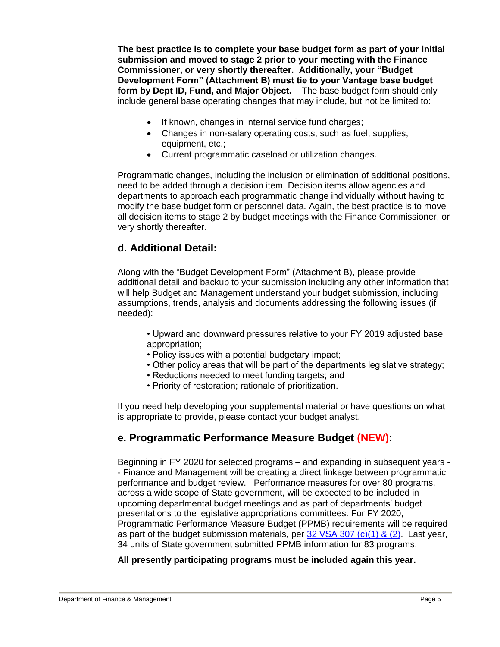**The best practice is to complete your base budget form as part of your initial submission and moved to stage 2 prior to your meeting with the Finance Commissioner, or very shortly thereafter. Additionally, your "Budget Development Form" (Attachment B) must tie to your Vantage base budget form by Dept ID, Fund, and Major Object.** The base budget form should only include general base operating changes that may include, but not be limited to:

- If known, changes in internal service fund charges;
- Changes in non-salary operating costs, such as fuel, supplies, equipment, etc.;
- Current programmatic caseload or utilization changes.

Programmatic changes, including the inclusion or elimination of additional positions, need to be added through a decision item. Decision items allow agencies and departments to approach each programmatic change individually without having to modify the base budget form or personnel data. Again, the best practice is to move all decision items to stage 2 by budget meetings with the Finance Commissioner, or very shortly thereafter.

### **d. Additional Detail:**

Along with the "Budget Development Form" (Attachment B), please provide additional detail and backup to your submission including any other information that will help Budget and Management understand your budget submission, including assumptions, trends, analysis and documents addressing the following issues (if needed):

• Upward and downward pressures relative to your FY 2019 adjusted base appropriation;

- Policy issues with a potential budgetary impact;
- Other policy areas that will be part of the departments legislative strategy;
- Reductions needed to meet funding targets; and
- Priority of restoration; rationale of prioritization.

If you need help developing your supplemental material or have questions on what is appropriate to provide, please contact your budget analyst.

### **e. Programmatic Performance Measure Budget (NEW):**

Beginning in FY 2020 for selected programs – and expanding in subsequent years - - Finance and Management will be creating a direct linkage between programmatic performance and budget review. Performance measures for over 80 programs, across a wide scope of State government, will be expected to be included in upcoming departmental budget meetings and as part of departments' budget presentations to the legislative appropriations committees. For FY 2020, Programmatic Performance Measure Budget (PPMB) requirements will be required as part of the budget submission materials, per  $32$  VSA  $307$  (c)(1) & (2). Last year, 34 units of State government submitted PPMB information for 83 programs.

**All presently participating programs must be included again this year.**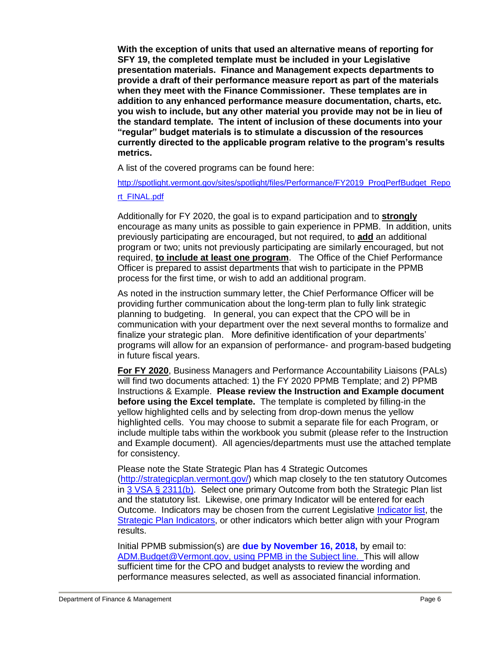**With the exception of units that used an alternative means of reporting for SFY 19, the completed template must be included in your Legislative presentation materials. Finance and Management expects departments to provide a draft of their performance measure report as part of the materials when they meet with the Finance Commissioner. These templates are in addition to any enhanced performance measure documentation, charts, etc. you wish to include, but any other material you provide may not be in lieu of the standard template. The intent of inclusion of these documents into your "regular" budget materials is to stimulate a discussion of the resources currently directed to the applicable program relative to the program's results metrics.**

A list of the covered programs can be found here:

[http://spotlight.vermont.gov/sites/spotlight/files/Performance/FY2019\\_ProgPerfBudget\\_Repo](http://spotlight.vermont.gov/sites/spotlight/files/Performance/FY2019_ProgPerfBudget_Report_FINAL.pdf)

#### [rt\\_FINAL.pdf](http://spotlight.vermont.gov/sites/spotlight/files/Performance/FY2019_ProgPerfBudget_Report_FINAL.pdf)

Additionally for FY 2020, the goal is to expand participation and to **strongly**  encourage as many units as possible to gain experience in PPMB. In addition, units previously participating are encouraged, but not required, to **add** an additional program or two; units not previously participating are similarly encouraged, but not required, **to include at least one program**. The Office of the Chief Performance Officer is prepared to assist departments that wish to participate in the PPMB process for the first time, or wish to add an additional program.

As noted in the instruction summary letter, the Chief Performance Officer will be providing further communication about the long-term plan to fully link strategic planning to budgeting. In general, you can expect that the CPO will be in communication with your department over the next several months to formalize and finalize your strategic plan. More definitive identification of your departments' programs will allow for an expansion of performance- and program-based budgeting in future fiscal years.

**For FY 2020**, Business Managers and Performance Accountability Liaisons (PALs) will find two documents attached: 1) the FY 2020 PPMB Template; and 2) PPMB Instructions & Example. **Please review the Instruction and Example document before using the Excel template.** The template is completed by filling-in the yellow highlighted cells and by selecting from drop-down menus the yellow highlighted cells. You may choose to submit a separate file for each Program, or include multiple tabs within the workbook you submit (please refer to the Instruction and Example document). All agencies/departments must use the attached template for consistency.

Please note the State Strategic Plan has 4 Strategic Outcomes [\(http://strategicplan.vermont.gov/\)](http://strategicplan.vermont.gov/) which map closely to the ten statutory Outcomes in [3 VSA § 2311\(b\).](https://legislature.vermont.gov/statutes/section/03/045/02311) Select one primary Outcome from both the Strategic Plan list and the statutory list. Likewise, one primary Indicator will be entered for each Outcome. Indicators may be chosen from the current Legislative [Indicator list,](http://spotlight.vermont.gov/sites/spotlight/files/Performance/Outcomes_Indicators_FINAL_for_2018%3B_033018.pdf) the **Strategic Plan Indicators**, or other indicators which better align with your Program results.

Initial PPMB submission(s) are **due by November 16, 2018,** by email to: [ADM.Budget@Vermont.gov,](mailto:ADM.Budget@Vermont.gov) using PPMB in the Subject line. This will allow sufficient time for the CPO and budget analysts to review the wording and performance measures selected, as well as associated financial information.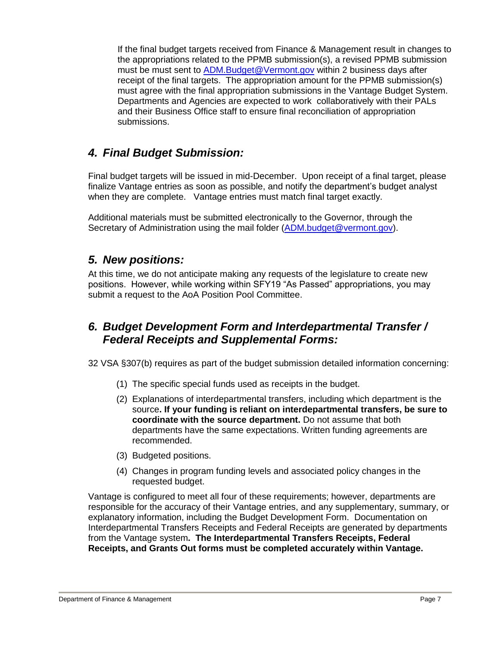If the final budget targets received from Finance & Management result in changes to the appropriations related to the PPMB submission(s), a revised PPMB submission must be must sent to [ADM.Budget@Vermont.gov](mailto:ADM.Budget@Vermont.gov) within 2 business days after receipt of the final targets. The appropriation amount for the PPMB submission(s) must agree with the final appropriation submissions in the Vantage Budget System. Departments and Agencies are expected to work collaboratively with their PALs and their Business Office staff to ensure final reconciliation of appropriation submissions.

# *4. Final Budget Submission:*

Final budget targets will be issued in mid-December. Upon receipt of a final target, please finalize Vantage entries as soon as possible, and notify the department's budget analyst when they are complete. Vantage entries must match final target exactly.

Additional materials must be submitted electronically to the Governor, through the Secretary of Administration using the mail folder [\(ADM.budget@vermont.gov\)](mailto:ADM.budget@vermont.gov).

# *5. New positions:*

At this time, we do not anticipate making any requests of the legislature to create new positions. However, while working within SFY19 "As Passed" appropriations, you may submit a request to the AoA Position Pool Committee.

# *6. Budget Development Form and Interdepartmental Transfer / Federal Receipts and Supplemental Forms:*

32 VSA §307(b) requires as part of the budget submission detailed information concerning:

- (1) The specific special funds used as receipts in the budget.
- (2) Explanations of interdepartmental transfers, including which department is the source**. If your funding is reliant on interdepartmental transfers, be sure to coordinate with the source department.** Do not assume that both departments have the same expectations. Written funding agreements are recommended.
- (3) Budgeted positions.
- (4) Changes in program funding levels and associated policy changes in the requested budget.

Vantage is configured to meet all four of these requirements; however, departments are responsible for the accuracy of their Vantage entries, and any supplementary, summary, or explanatory information, including the Budget Development Form. Documentation on Interdepartmental Transfers Receipts and Federal Receipts are generated by departments from the Vantage system**. The Interdepartmental Transfers Receipts, Federal Receipts, and Grants Out forms must be completed accurately within Vantage.**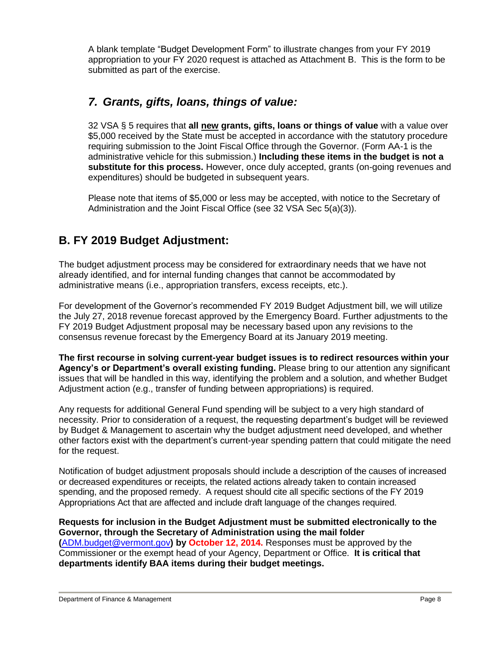A blank template "Budget Development Form" to illustrate changes from your FY 2019 appropriation to your FY 2020 request is attached as Attachment B. This is the form to be submitted as part of the exercise.

# *7. Grants, gifts, loans, things of value:*

32 VSA § 5 requires that **all new grants, gifts, loans or things of value** with a value over \$5,000 received by the State must be accepted in accordance with the statutory procedure requiring submission to the Joint Fiscal Office through the Governor. (Form AA-1 is the administrative vehicle for this submission.) **Including these items in the budget is not a substitute for this process.** However, once duly accepted, grants (on-going revenues and expenditures) should be budgeted in subsequent years.

Please note that items of \$5,000 or less may be accepted, with notice to the Secretary of Administration and the Joint Fiscal Office (see 32 VSA Sec 5(a)(3)).

# **B. FY 2019 Budget Adjustment:**

The budget adjustment process may be considered for extraordinary needs that we have not already identified, and for internal funding changes that cannot be accommodated by administrative means (i.e., appropriation transfers, excess receipts, etc.).

For development of the Governor's recommended FY 2019 Budget Adjustment bill, we will utilize the July 27, 2018 revenue forecast approved by the Emergency Board. Further adjustments to the FY 2019 Budget Adjustment proposal may be necessary based upon any revisions to the consensus revenue forecast by the Emergency Board at its January 2019 meeting.

**The first recourse in solving current-year budget issues is to redirect resources within your Agency's or Department's overall existing funding.** Please bring to our attention any significant issues that will be handled in this way, identifying the problem and a solution, and whether Budget Adjustment action (e.g., transfer of funding between appropriations) is required.

Any requests for additional General Fund spending will be subject to a very high standard of necessity. Prior to consideration of a request, the requesting department's budget will be reviewed by Budget & Management to ascertain why the budget adjustment need developed, and whether other factors exist with the department's current-year spending pattern that could mitigate the need for the request.

Notification of budget adjustment proposals should include a description of the causes of increased or decreased expenditures or receipts, the related actions already taken to contain increased spending, and the proposed remedy. A request should cite all specific sections of the FY 2019 Appropriations Act that are affected and include draft language of the changes required.

**Requests for inclusion in the Budget Adjustment must be submitted electronically to the Governor, through the Secretary of Administration using the mail folder (**[ADM.budget@vermont.gov](mailto:ADM.budget@vermont.gov)**) by October 12, 2014.** Responses must be approved by the Commissioner or the exempt head of your Agency, Department or Office. **It is critical that departments identify BAA items during their budget meetings.**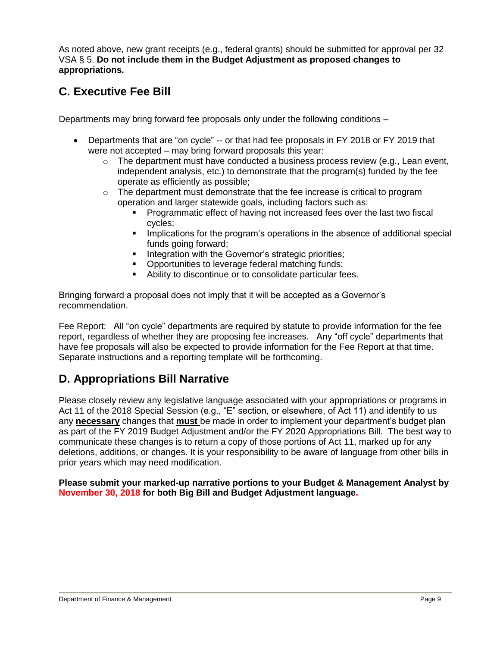As noted above, new grant receipts (e.g., federal grants) should be submitted for approval per 32 VSA § 5. **Do not include them in the Budget Adjustment as proposed changes to appropriations.**

# **C. Executive Fee Bill**

Departments may bring forward fee proposals only under the following conditions –

- Departments that are "on cycle" -- or that had fee proposals in FY 2018 or FY 2019 that were not accepted – may bring forward proposals this year:
	- $\circ$  The department must have conducted a business process review (e.g., Lean event, independent analysis, etc.) to demonstrate that the program(s) funded by the fee operate as efficiently as possible;
	- $\circ$  The department must demonstrate that the fee increase is critical to program operation and larger statewide goals, including factors such as:
		- Programmatic effect of having not increased fees over the last two fiscal cycles;
		- Implications for the program's operations in the absence of additional special funds going forward:
		- **EXEC** Integration with the Governor's strategic priorities;
		- Opportunities to leverage federal matching funds;
		- Ability to discontinue or to consolidate particular fees.

Bringing forward a proposal does not imply that it will be accepted as a Governor's recommendation.

Fee Report: All "on cycle" departments are required by statute to provide information for the fee report, regardless of whether they are proposing fee increases. Any "off cycle" departments that have fee proposals will also be expected to provide information for the Fee Report at that time. Separate instructions and a reporting template will be forthcoming.

# **D. Appropriations Bill Narrative**

Please closely review any legislative language associated with your appropriations or programs in Act 11 of the 2018 Special Session (e.g., "E" section, or elsewhere, of Act 11) and identify to us any **necessary** changes that **must** be made in order to implement your department's budget plan as part of the FY 2019 Budget Adjustment and/or the FY 2020 Appropriations Bill. The best way to communicate these changes is to return a copy of those portions of Act 11, marked up for any deletions, additions, or changes. It is your responsibility to be aware of language from other bills in prior years which may need modification.

**Please submit your marked-up narrative portions to your Budget & Management Analyst by November 30, 2018 for both Big Bill and Budget Adjustment language.**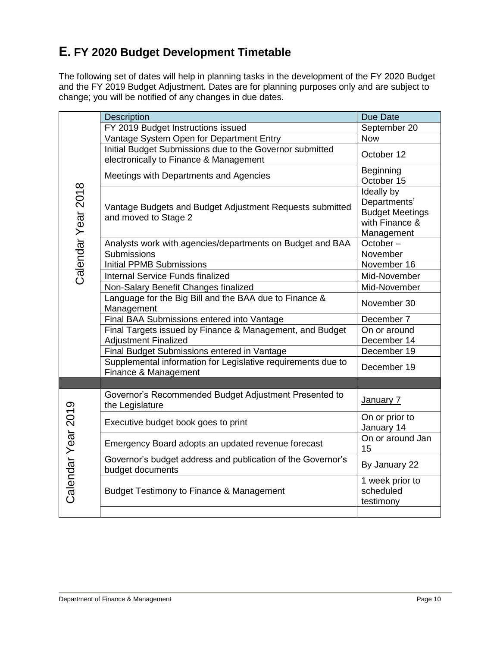# **E. FY 2020 Budget Development Timetable**

The following set of dates will help in planning tasks in the development of the FY 2020 Budget and the FY 2019 Budget Adjustment. Dates are for planning purposes only and are subject to change; you will be notified of any changes in due dates.

|                    | <b>Description</b>                                                                                 | Due Date                                  |
|--------------------|----------------------------------------------------------------------------------------------------|-------------------------------------------|
|                    | FY 2019 Budget Instructions issued                                                                 | September 20                              |
|                    | Vantage System Open for Department Entry                                                           | <b>Now</b>                                |
|                    | Initial Budget Submissions due to the Governor submitted<br>electronically to Finance & Management | October 12                                |
|                    | Meetings with Departments and Agencies                                                             | Beginning                                 |
|                    |                                                                                                    | October 15                                |
| Calendar Year 2018 |                                                                                                    | Ideally by<br>Departments'                |
|                    | Vantage Budgets and Budget Adjustment Requests submitted                                           | <b>Budget Meetings</b>                    |
|                    | and moved to Stage 2                                                                               | with Finance &                            |
|                    |                                                                                                    | Management                                |
|                    | Analysts work with agencies/departments on Budget and BAA                                          | October-                                  |
|                    | Submissions                                                                                        | November                                  |
|                    | <b>Initial PPMB Submissions</b>                                                                    | November 16                               |
|                    | Internal Service Funds finalized                                                                   | Mid-November                              |
|                    | Non-Salary Benefit Changes finalized                                                               | Mid-November                              |
|                    | Language for the Big Bill and the BAA due to Finance &<br>Management                               | November 30                               |
|                    | Final BAA Submissions entered into Vantage                                                         | December 7                                |
|                    | Final Targets issued by Finance & Management, and Budget                                           | On or around                              |
|                    | <b>Adjustment Finalized</b>                                                                        | December 14                               |
|                    | Final Budget Submissions entered in Vantage                                                        | December 19                               |
|                    | Supplemental information for Legislative requirements due to<br>Finance & Management               | December 19                               |
|                    |                                                                                                    |                                           |
|                    | Governor's Recommended Budget Adjustment Presented to<br>the Legislature                           | January 7                                 |
|                    | Executive budget book goes to print                                                                | On or prior to<br>January 14              |
|                    | Emergency Board adopts an updated revenue forecast                                                 | On or around Jan<br>15                    |
|                    | Governor's budget address and publication of the Governor's<br>budget documents                    | By January 22                             |
| Calendar Year 2019 | Budget Testimony to Finance & Management                                                           | 1 week prior to<br>scheduled<br>testimony |
|                    |                                                                                                    |                                           |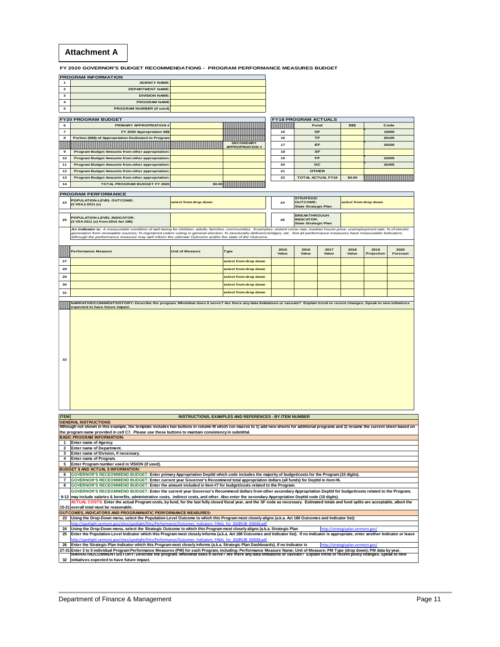#### **Attachment A**

**FY 2020 GOVERNOR'S BUDGET RECOMMENDATIONS - PROGRAM PERFORMANCE MEASURES BUDGET**

|   | <b>PROGRAM INFORMATION</b>      |                                                                                                                       |                             |        |
|---|---------------------------------|-----------------------------------------------------------------------------------------------------------------------|-----------------------------|--------|
|   | <b>AGENCY NAME:</b>             |                                                                                                                       |                             |        |
|   | <b>DEPARTMENT NAME:</b>         |                                                                                                                       |                             |        |
|   | <b>DIVISION NAME:</b>           |                                                                                                                       |                             |        |
|   | <b>PROGRAM NAME</b>             |                                                                                                                       |                             |        |
|   | <b>PROGRAM NUMBER (if used)</b> |                                                                                                                       |                             |        |
|   |                                 |                                                                                                                       |                             |        |
|   | <b>FY20 PROGRAM BUDGET</b>      |                                                                                                                       | <b>FY18 PROGRAM ACTUALS</b> |        |
| 6 | <b>PRIMARY APPROPRIATION #</b>  | <u>  Estados de la provincia de la provincia de la provincia de la provincia de la provincia de la provincia de l</u> | Fund                        | \$\$\$ |

|    | <b>PRIMARY APPROPRIATION #</b>                         |                                            | <u> De la provincia de la provincia de la provincia de la provincia de la provincia de la provincia de la provincia </u> | Fund                     | \$\$\$ | Code                                                                                                                |
|----|--------------------------------------------------------|--------------------------------------------|--------------------------------------------------------------------------------------------------------------------------|--------------------------|--------|---------------------------------------------------------------------------------------------------------------------|
|    | FY 2020 Appropriation \$\$\$                           |                                            | 15                                                                                                                       | <b>GF</b>                |        | 10000                                                                                                               |
| 8  | Portion (\$\$\$) of Appropriation Dedicated to Program |                                            | 16                                                                                                                       | <b>TF</b>                |        | 20105                                                                                                               |
|    |                                                        | <b>SECONDARY</b><br><b>APPROPRIATION #</b> | 17                                                                                                                       | EF                       |        | 20205                                                                                                               |
| я  | Program Budget Amounts from other appropriation:       |                                            | 18                                                                                                                       | <b>SF</b>                |        |                                                                                                                     |
| 10 | Program Budget Amounts from other appropriation:       |                                            | 19                                                                                                                       | <b>FF</b>                |        | 22005                                                                                                               |
| 11 | Program Budget Amounts from other appropriation:       |                                            | 20                                                                                                                       | <b>GC</b>                |        | 20405                                                                                                               |
| 12 | Program Budget Amounts from other appropriation:       |                                            | 21                                                                                                                       | <b>OTHER</b>             |        |                                                                                                                     |
| 13 | Program Budget Amounts from other appropriation:       |                                            | 22                                                                                                                       | <b>TOTAL ACTUAL FY18</b> | \$0.00 | <u> Allian and and a strong and a strong and a strong and a strong and a strong and a strong and a strong and a</u> |
| 14 | <b>TOTAL PROGRAM BUDGET FY 2020</b>                    | \$0.00                                     |                                                                                                                          |                          |        |                                                                                                                     |

#### **PROGRAM PERFORMANCE**

|    | <b>FROGRAM FERFORMANGE</b>                                               |                       |    |                                                                         |                       |
|----|--------------------------------------------------------------------------|-----------------------|----|-------------------------------------------------------------------------|-----------------------|
| 23 | <b>POPULATION-LEVEL OUTCOME:</b><br>(3 VSA § 2311 (c)                    | select from drop down | 24 | <b>STRATEGIC</b><br><b>OUTCOME:</b><br><b>State Strategic Plan</b>      | select from drop down |
|    |                                                                          |                       |    |                                                                         |                       |
| 25 | <b>POPULATION-LEVEL INDICATOR:</b><br>(3 VSA 2311 (c) from 2014 Act 186) |                       | 26 | <b>BREAKTHROUGH</b><br><b>INDICATOR:</b><br><b>State Strategic Plan</b> |                       |

**An Indicator is:** A measurable condition of well-being for children, adults, families, communities. Examples: violent crime rate; median house price; unemployment rate; % of electric<br>generation form renewable sources; % r

|    | <b>Performance Measure</b> | <b>Unit of Measure</b> | Type                  | 2015<br>Value | 2016<br>Value | 2017<br>Value | 2018<br>Value | 2019<br>Projection | 2020<br>Forecast |
|----|----------------------------|------------------------|-----------------------|---------------|---------------|---------------|---------------|--------------------|------------------|
| 27 |                            |                        | select from drop down |               |               |               |               |                    |                  |
| 28 |                            |                        | select from drop down |               |               |               |               |                    |                  |
| 29 |                            |                        | select from drop down |               |               |               |               |                    |                  |
| 30 |                            |                        | select from drop down |               |               |               |               |                    |                  |
| 31 |                            |                        | select from drop down |               |               |               |               |                    |                  |

**NARRATIVE/COMMENTS/STORY: Describe the program. Who/what does it serve? Are there any data limitations or caveats? Explain trend or recent changes. Speak to new initiatives expected to have future impact.** 

| 32          |                                                                                                                                                                                          |  |
|-------------|------------------------------------------------------------------------------------------------------------------------------------------------------------------------------------------|--|
| <b>ITEM</b> | INSTRUCTIONS, EXAMPLES AND REFERENCES - BY ITEM NUMBER                                                                                                                                   |  |
|             | <b>GENERAL INSTRUCTIONS</b>                                                                                                                                                              |  |
|             | Although not shown in this example, the template includes two buttons in column M which run macros to 1) add new sheets for additional programs and 2) rename the current sheet based on |  |
|             | the program name provided in cell C7. Please use these buttons to maintain consistency in submittal.                                                                                     |  |
|             | <b>BASIC PROGRAM INFORMATION:</b>                                                                                                                                                        |  |

**1 Enter name of Agency. 2 Enter name of Department.**

**3 Enter name of Division, if necessary. 4 Enter name of Program.**

**5 Enter Program number used in VISION (if used). BUDGET \$ AND ACTUAL \$ INFORMATION:**

**6 GOVERNOR'S RECEOMMEND BUDGET: Enter primary Appropriation DeptId which code includes the majority of budget/costs for the Program (10 digits).<br><b>7 GOVERNOR'S RECEOMMEND BUDGET:** Enter current year Governor's Recommen

7 GOVERNOR'S RECEOMMEND BUDGET: Enter current year Governor's Recommend total appropriation dollars (all funds) for DeptId in item #6.<br>8 GOVERNOR'S RECEOMMEND BUDGET: Enter the amount included in Item #7 for budget/costs r

**9-13 15-21** GOVERNOR'S RECEOMMEND BUDGET: Enter the current year Governor's Recommend dollars from other secondary Appropriation DeptId for budget/costs related to the Program;<br>may include salaries & benefits, administrative costs, in **overall total must be reasonable. OUTCOMES, INDICATORS AND PROGRAMMATIC PERFORMANCE MEASURES:**

**23 Using the Drop-Down menu, select the Population-Level Outcome to which this Program most closely aligns (a.k.a. Act 186 Outcomes and Indicator list):**

**24 25** <u>http://spotlight.vermont.gov/sites/spotlight/files/Performance/Outcomes\_Indicators\_FINAL\_for\_2018%38\_033018.pdf<br>Using the Drop-Down menu, select the Strategic Outcome to which this Program most closely aligns (a.k.a. Stra</u> **Enter the Population-Level Indicator which this Program most closely informs (a.k.a. Act 186 Outcomes and Indicator list). If no Indicator is appropriate, enter another Indicator or leave** 

**26** 27-31 |Enter 3 to 5 individual Program Performance Measures (PM) for each Program, including: Performance Measure Name; Unit of Measure; PM Type (drop down); PM data by year.<br>| NARRATIVE/COMMENTS/STORY: Describe the progra //spotlight.vermont.gov/sites/spotlight/files/Performance/Outcomes\_Indicators\_FINAL\_for\_2018%3B\_033018.pdf Enter the Strategic Plan Indicator which this Program most closely informs (a.k.a. Strategic Plan Dashboards). If no Indicator is **http://strategic**hearts.com

**32 initiatives expected to have future impact.**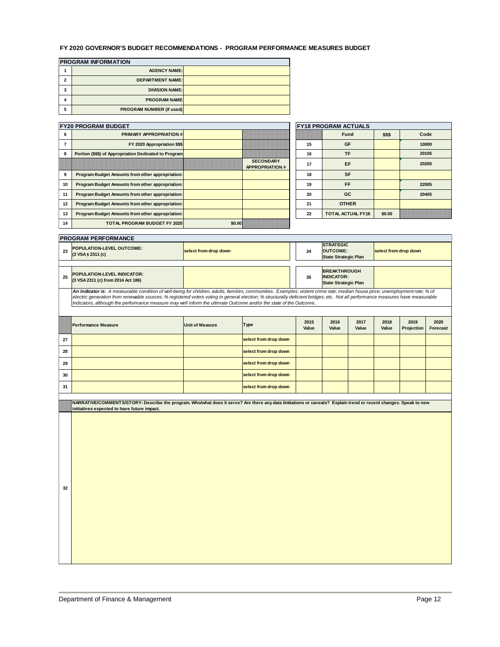#### **FY 2020 GOVERNOR'S BUDGET RECOMMENDATIONS - PROGRAM PERFORMANCE MEASURES BUDGET**

|                | <b>PROGRAM INFORMATION</b>      |  |
|----------------|---------------------------------|--|
| 4              | <b>AGENCY NAME:</b>             |  |
| $\overline{2}$ | <b>DEPARTMENT NAME:</b>         |  |
| 3              | <b>DIVISION NAME:</b>           |  |
| 4              | <b>PROGRAM NAME</b>             |  |
| 5              | <b>PROGRAM NUMBER (if used)</b> |  |

| <b>FY20 PROGRAM BUDGET</b> |                                                         |        |                                           | <b>FY18 PROGRAM ACTUALS</b>    |                          |        |       |
|----------------------------|---------------------------------------------------------|--------|-------------------------------------------|--------------------------------|--------------------------|--------|-------|
| 6                          | <b>PRIMARY APPROPRIATION #I</b>                         |        |                                           | ,,,,,,,,,,,,,,,,,,,,,,,,,,,,,, | <b>Fund</b>              | \$\$\$ | Code  |
|                            | FY 2020 Appropriation \$\$\$                            |        |                                           | 15                             | GF                       |        | 10000 |
| 8                          | Portion (\$\$\$) of Appropriation Dedicated to Program  |        |                                           | 16                             | <b>TF</b>                |        | 20105 |
|                            |                                                         |        | <b>SECONDARY</b><br><b>APPROPRIATION#</b> | 17                             | EF                       |        | 20205 |
| 9                          | <b>Program Budget Amounts from other appropriation:</b> |        |                                           | 18                             | <b>SF</b>                |        |       |
| 10                         | Program Budget Amounts from other appropriation:        |        |                                           | 19                             | FF                       |        | 22005 |
| 11                         | Program Budget Amounts from other appropriation:        |        |                                           | 20                             | GC                       |        | 20405 |
| 12                         | Program Budget Amounts from other appropriation:        |        |                                           | 21                             | <b>OTHER</b>             |        |       |
| 13                         | Program Budget Amounts from other appropriation:        |        |                                           | 22                             | <b>TOTAL ACTUAL FY18</b> | \$0.00 |       |
| 14                         | <b>TOTAL PROGRAM BUDGET FY 2020</b>                     | \$0.00 |                                           |                                |                          |        |       |

#### **PROGRAM PERFORMANCE**

|  | <b>PRUGRAM PERFURMANGE</b>                                                                                                                                                                                                     |                       |    |                                                                         |                       |
|--|--------------------------------------------------------------------------------------------------------------------------------------------------------------------------------------------------------------------------------|-----------------------|----|-------------------------------------------------------------------------|-----------------------|
|  | <b>POPULATION-LEVEL OUTCOME:</b><br>$(3 \text{ VSA } 6 \text{ 2311 } (c))$                                                                                                                                                     | select from drop down | 24 | <b>STRATEGIC</b><br><b>OUTCOME:</b><br><b>State Strategic Plan</b>      | select from drop down |
|  |                                                                                                                                                                                                                                |                       |    |                                                                         |                       |
|  | <b>POPULATION-LEVEL INDICATOR:</b><br>(3 VSA 2311 (c) from 2014 Act 186)                                                                                                                                                       |                       | 26 | <b>BREAKTHROUGH</b><br><b>INDICATOR:</b><br><b>State Strategic Plan</b> |                       |
|  | As belongs to Associated the Protection Contribution of the Control South Constitution of the second second control of the construction of the Constitution of the Constitution of the Constitution of the Constitution of the |                       |    |                                                                         |                       |

*An Indicator is: A measurable condition of well-being for children, adults, families, communities. Examples: violent crime rate; median house price; unemployment rate; % of*  electric generation from renewable sources; % registered voters voting in general election; % structurally deficient bridges; etc. Not all performance measures have measurable<br>Indicators, although the performance measure m

|    | <b>Experience Measure</b><br><b>Performance Measure</b> | <b>Unit of Measure</b> | <b>Type</b>           | 2015<br>Value | 2016<br>Value | 2017<br>Value | 2018<br>Value | 2019<br><b>Projection</b> | 2020<br>Forecast |
|----|---------------------------------------------------------|------------------------|-----------------------|---------------|---------------|---------------|---------------|---------------------------|------------------|
| 27 |                                                         |                        | select from drop down |               |               |               |               |                           |                  |
| 28 |                                                         |                        | select from drop down |               |               |               |               |                           |                  |
| 29 |                                                         |                        | select from drop down |               |               |               |               |                           |                  |
| 30 |                                                         |                        | select from drop down |               |               |               |               |                           |                  |
| 31 |                                                         |                        | select from drop down |               |               |               |               |                           |                  |

**NARRATIVE/COMMENTS/STORY: Describe the program. Who/what does it serve? Are there any data limitations or caveats? Explain trend or recent changes. Speak to new initiatives expected to have future impact.** 

**32**